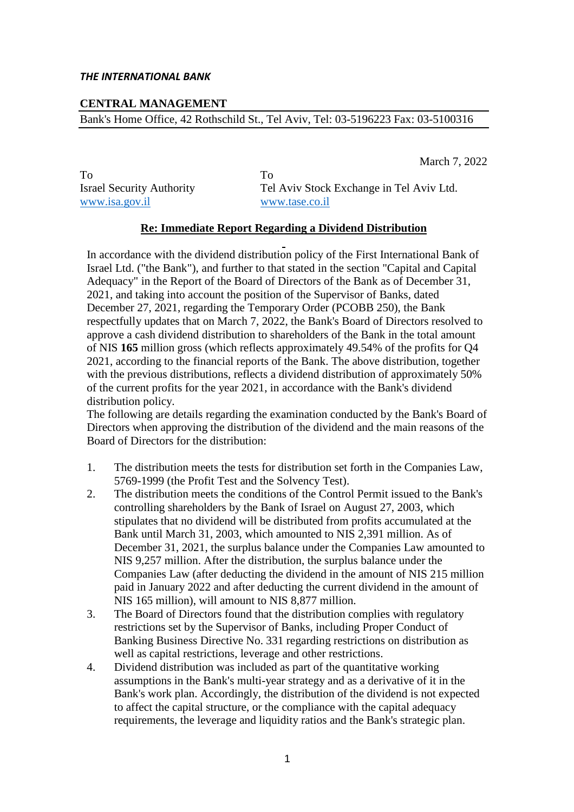## **CENTRAL MANAGEMENT**

Bank's Home Office, 42 Rothschild St., Tel Aviv, Tel: 03-5196223 Fax: 03-5100316

March 7, 2022

To To www.isa.gov.il www.tase.co.il

Israel Security Authority Tel Aviv Stock Exchange in Tel Aviv Ltd.

## **Re: Immediate Report Regarding a Dividend Distribution**

In accordance with the dividend distribution policy of the First International Bank of Israel Ltd. ("the Bank"), and further to that stated in the section "Capital and Capital Adequacy" in the Report of the Board of Directors of the Bank as of December 31, 2021, and taking into account the position of the Supervisor of Banks, dated December 27, 2021, regarding the Temporary Order (PCOBB 250), the Bank respectfully updates that on March 7, 2022, the Bank's Board of Directors resolved to approve a cash dividend distribution to shareholders of the Bank in the total amount of NIS **165** million gross (which reflects approximately 49.54% of the profits for Q4 2021, according to the financial reports of the Bank. The above distribution, together with the previous distributions, reflects a dividend distribution of approximately 50% of the current profits for the year 2021, in accordance with the Bank's dividend distribution policy.

The following are details regarding the examination conducted by the Bank's Board of Directors when approving the distribution of the dividend and the main reasons of the Board of Directors for the distribution:

- 1. The distribution meets the tests for distribution set forth in the Companies Law, 5769-1999 (the Profit Test and the Solvency Test).
- 2. The distribution meets the conditions of the Control Permit issued to the Bank's controlling shareholders by the Bank of Israel on August 27, 2003, which stipulates that no dividend will be distributed from profits accumulated at the Bank until March 31, 2003, which amounted to NIS 2,391 million. As of December 31, 2021, the surplus balance under the Companies Law amounted to NIS 9,257 million. After the distribution, the surplus balance under the Companies Law (after deducting the dividend in the amount of NIS 215 million paid in January 2022 and after deducting the current dividend in the amount of NIS 165 million), will amount to NIS 8,877 million.
- 3. The Board of Directors found that the distribution complies with regulatory restrictions set by the Supervisor of Banks, including Proper Conduct of Banking Business Directive No. 331 regarding restrictions on distribution as well as capital restrictions, leverage and other restrictions.
- 4. Dividend distribution was included as part of the quantitative working assumptions in the Bank's multi-year strategy and as a derivative of it in the Bank's work plan. Accordingly, the distribution of the dividend is not expected to affect the capital structure, or the compliance with the capital adequacy requirements, the leverage and liquidity ratios and the Bank's strategic plan.